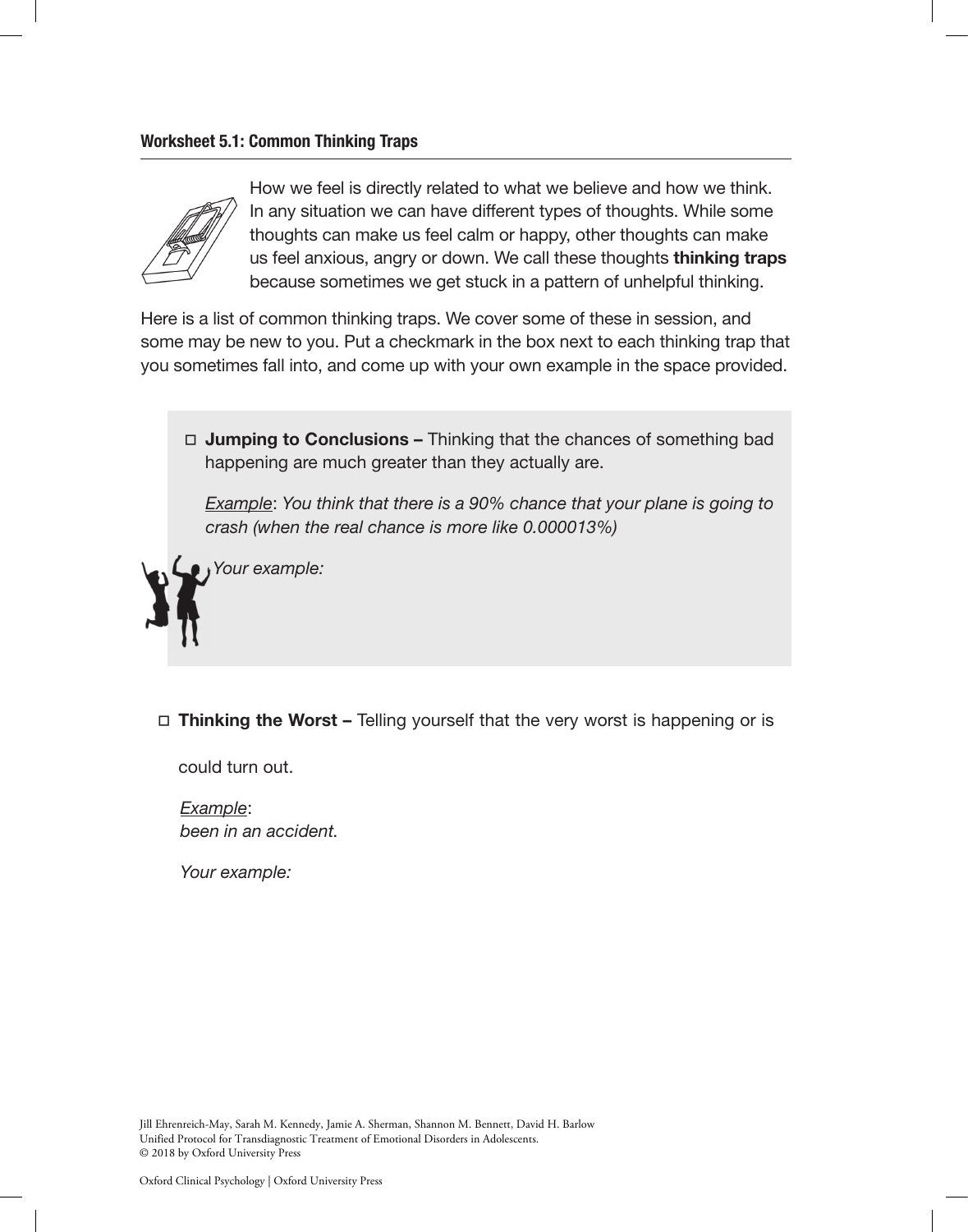## Worksheet 5.1: Common Thinking Traps



How we feel is directly related to what we believe and how we think. In any situation we can have different types of thoughts. While some thoughts can make us feel calm or happy, other thoughts can make us feel anxious, angry or down. We call these thoughts thinking traps because sometimes we get stuck in a pattern of unhelpful thinking.

Here is a list of common thinking traps. We cover some of these in session, and some may be new to you. Put a checkmark in the box next to each thinking trap that you sometimes fall into, and come up with your own example in the space provided.



*Example*: *You think that there is a 90% chance that your plane is going to crash (when the real chance is more like 0.000013%)*

*Your example:*

 $\Box$  Thinking the Worst – Telling yourself that the very worst is happening or is

could turn out.

*Example*: *been in an accident.*

*Your example:*

Jill Ehrenreich-May, Sarah M. Kennedy, Jamie A. Sherman, Shannon M. Bennett, David H. Barlow Unified Protocol for Transdiagnostic Treatment of Emotional Disorders in Adolescents. © 2018 by Oxford University Press

Oxford Clinical Psychology | Oxford University Press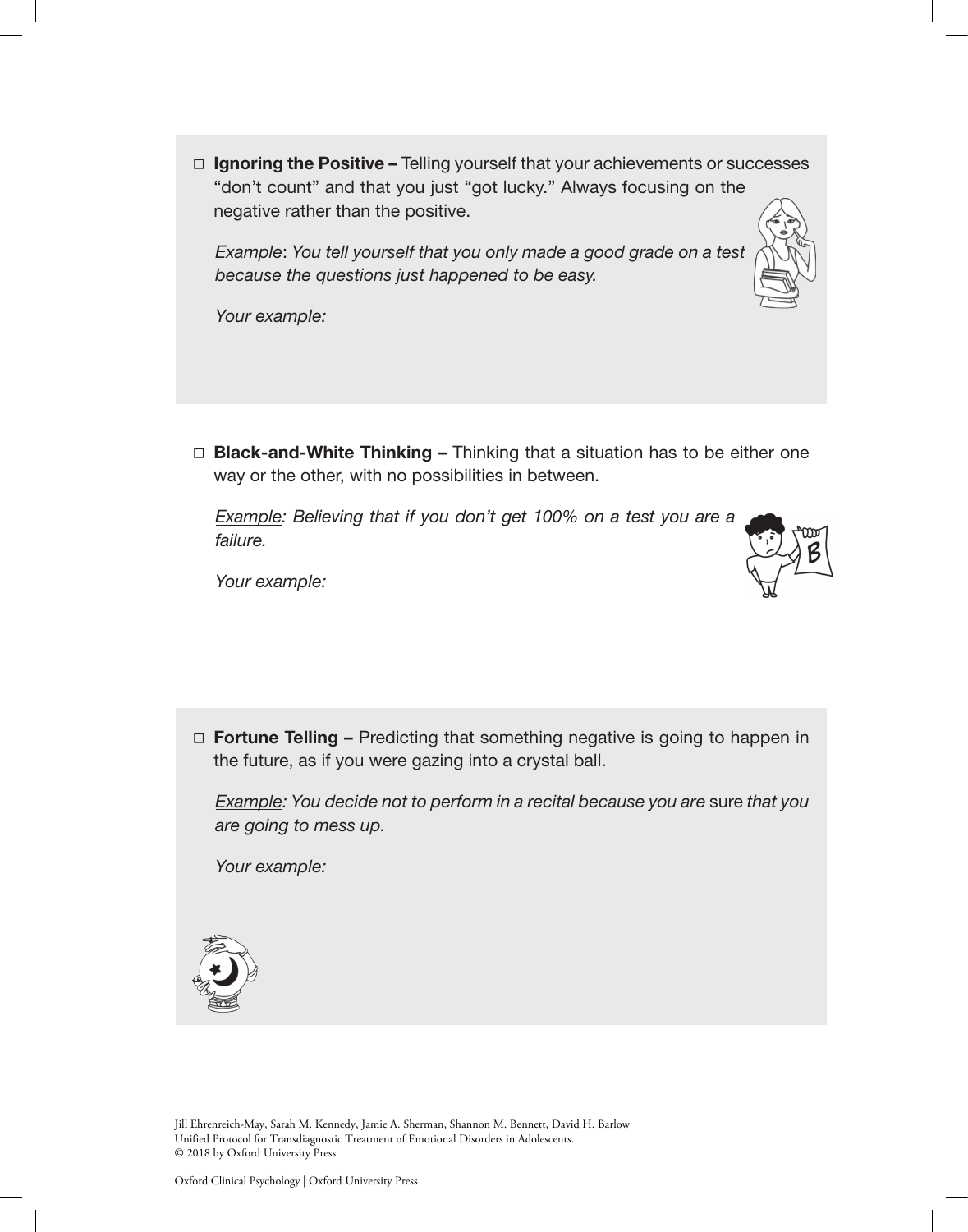$\Box$  Ignoring the Positive – Telling yourself that your achievements or successes "don't count" and that you just "got lucky." Always focusing on the negative rather than the positive.

*Example*: *You tell yourself that you only made a good grade on a test because the questions just happened to be easy.*

*Your example:*

 $\Box$  **Black-and-White Thinking –** Thinking that a situation has to be either one way or the other, with no possibilities in between.

**Example: Believing that if you don't get 100% on a test you are a** *failure.*



*Your example:*

 $\Box$  Fortune Telling – Predicting that something negative is going to happen in the future, as if you were gazing into a crystal ball.

*Example: You decide not to perform in a recital because you are sure that you are going to mess up.*

*Your example:*



Jill Ehrenreich-May, Sarah M. Kennedy, Jamie A. Sherman, Shannon M. Bennett, David H. Barlow Unified Protocol for Transdiagnostic Treatment of Emotional Disorders in Adolescents. © 2018 by Oxford University Press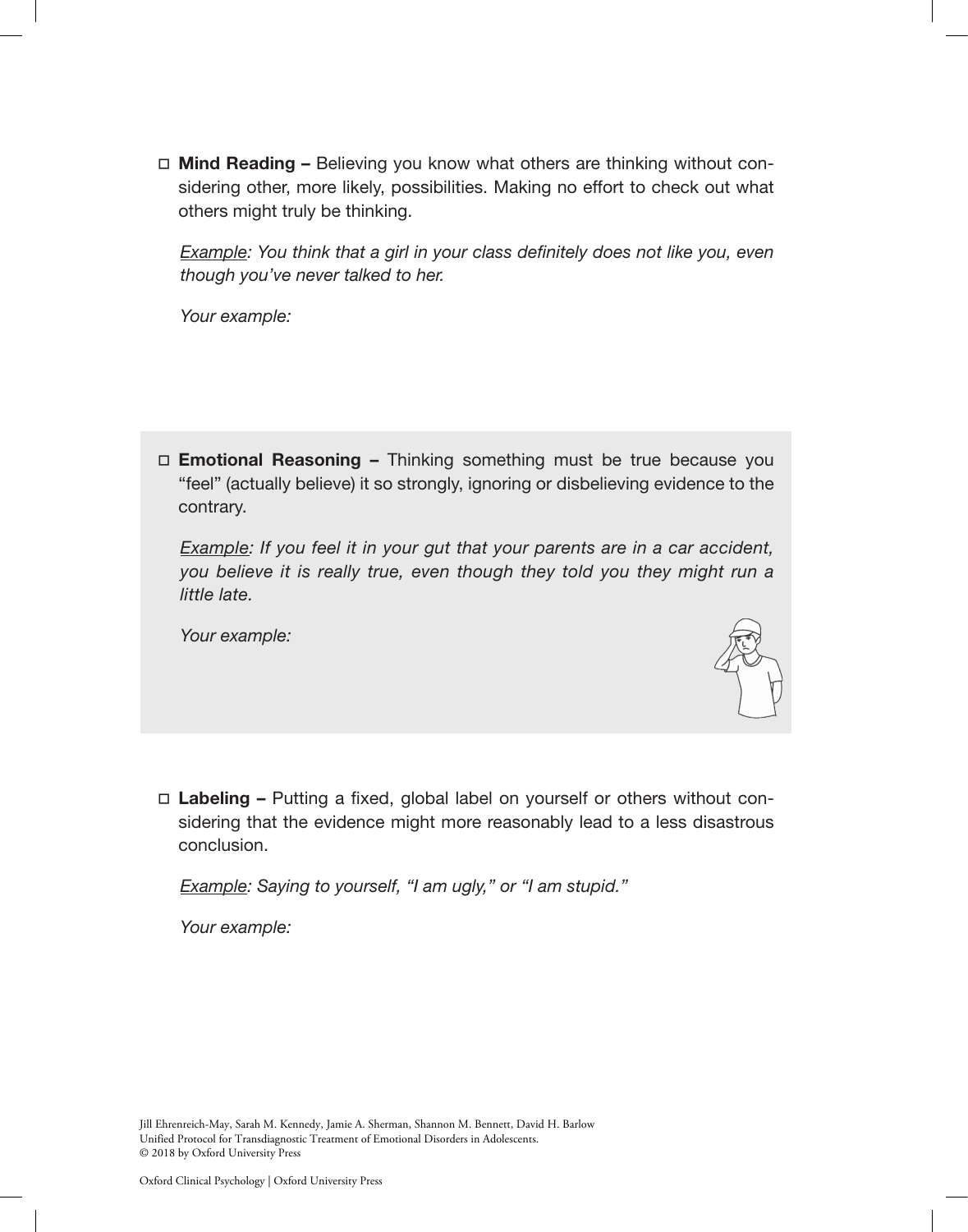$\Box$  Mind Reading – Believing you know what others are thinking without considering other, more likely, possibilities. Making no effort to check out what others might truly be thinking.

*Example: You think that a girl in your class definitely does not like you, even though you've never talked to her.*

*Your example:*

 $\Box$  **Emotional Reasoning -** Thinking something must be true because you "feel" (actually believe) it so strongly, ignoring or disbelieving evidence to the contrary.

*Example: If you feel it in your gut that your parents are in a car accident, you believe it is really true, even though they told you they might run a little late.*

*Your example:*



 $\Box$  Labeling – Putting a fixed, global label on yourself or others without considering that the evidence might more reasonably lead to a less disastrous conclusion.

*Example: Saying to yourself, "I am ugly," or "I am stupid."*

*Your example:*

Jill Ehrenreich-May, Sarah M. Kennedy, Jamie A. Sherman, Shannon M. Bennett, David H. Barlow Unified Protocol for Transdiagnostic Treatment of Emotional Disorders in Adolescents. © 2018 by Oxford University Press